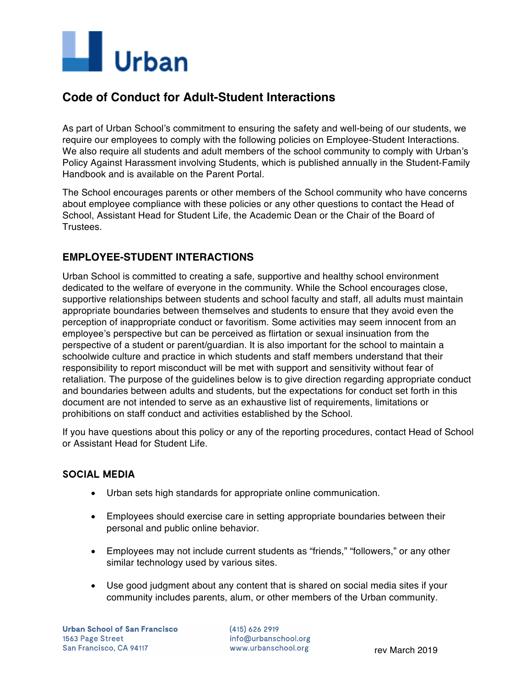

# **Code of Conduct for Adult-Student Interactions**

As part of Urban School's commitment to ensuring the safety and well-being of our students, we require our employees to comply with the following policies on Employee-Student Interactions. We also require all students and adult members of the school community to comply with Urban's Policy Against Harassment involving Students, which is published annually in the Student-Family Handbook and is available on the Parent Portal.

The School encourages parents or other members of the School community who have concerns about employee compliance with these policies or any other questions to contact the Head of School, Assistant Head for Student Life, the Academic Dean or the Chair of the Board of Trustees.

# **EMPLOYEE-STUDENT INTERACTIONS**

Urban School is committed to creating a safe, supportive and healthy school environment dedicated to the welfare of everyone in the community. While the School encourages close, supportive relationships between students and school faculty and staff, all adults must maintain appropriate boundaries between themselves and students to ensure that they avoid even the perception of inappropriate conduct or favoritism. Some activities may seem innocent from an employee's perspective but can be perceived as flirtation or sexual insinuation from the perspective of a student or parent/guardian. It is also important for the school to maintain a schoolwide culture and practice in which students and staff members understand that their responsibility to report misconduct will be met with support and sensitivity without fear of retaliation. The purpose of the guidelines below is to give direction regarding appropriate conduct and boundaries between adults and students, but the expectations for conduct set forth in this document are not intended to serve as an exhaustive list of requirements, limitations or prohibitions on staff conduct and activities established by the School.

If you have questions about this policy or any of the reporting procedures, contact Head of School or Assistant Head for Student Life.

## **SOCIAL MEDIA**

- Urban sets high standards for appropriate online communication.
- Employees should exercise care in setting appropriate boundaries between their personal and public online behavior.
- Employees may not include current students as "friends," "followers," or any other similar technology used by various sites.
- Use good judgment about any content that is shared on social media sites if your community includes parents, alum, or other members of the Urban community.

(415) 626 2919 info@urbanschool.org www.urbanschool.org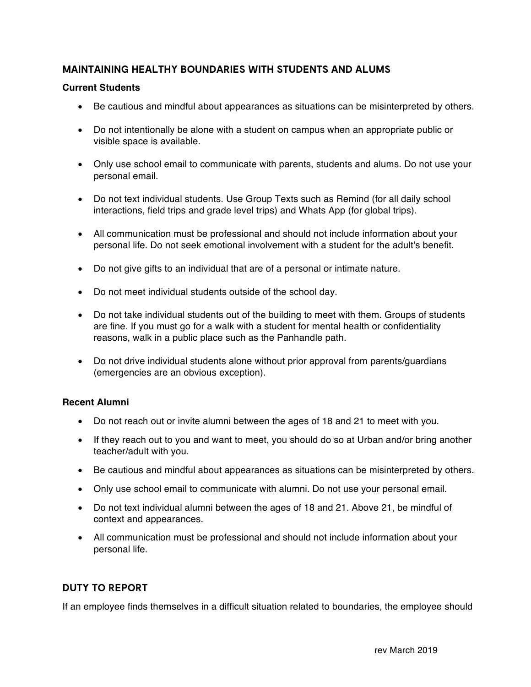## **MAINTAINING HEALTHY BOUNDARIES WITH STUDENTS AND ALUMS**

#### **Current Students**

- Be cautious and mindful about appearances as situations can be misinterpreted by others.
- Do not intentionally be alone with a student on campus when an appropriate public or visible space is available.
- Only use school email to communicate with parents, students and alums. Do not use your personal email.
- Do not text individual students. Use Group Texts such as Remind (for all daily school interactions, field trips and grade level trips) and Whats App (for global trips).
- All communication must be professional and should not include information about your personal life. Do not seek emotional involvement with a student for the adult's benefit.
- Do not give gifts to an individual that are of a personal or intimate nature.
- Do not meet individual students outside of the school day.
- Do not take individual students out of the building to meet with them. Groups of students are fine. If you must go for a walk with a student for mental health or confidentiality reasons, walk in a public place such as the Panhandle path.
- Do not drive individual students alone without prior approval from parents/quardians (emergencies are an obvious exception).

#### **Recent Alumni**

- Do not reach out or invite alumni between the ages of 18 and 21 to meet with you.
- If they reach out to you and want to meet, you should do so at Urban and/or bring another teacher/adult with you.
- Be cautious and mindful about appearances as situations can be misinterpreted by others.
- Only use school email to communicate with alumni. Do not use your personal email.
- Do not text individual alumni between the ages of 18 and 21. Above 21, be mindful of context and appearances.
- All communication must be professional and should not include information about your personal life.

## **DUTY TO REPORT**

If an employee finds themselves in a difficult situation related to boundaries, the employee should